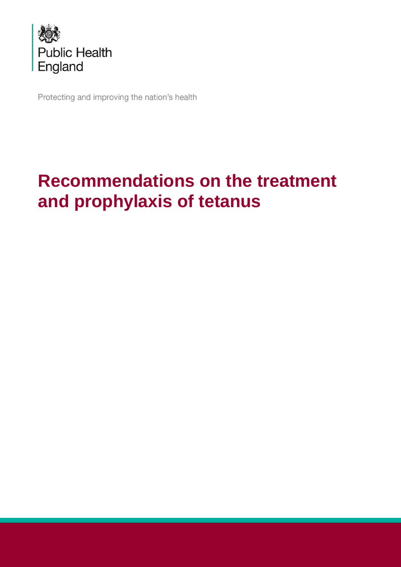

Protecting and improving the nation's health

# **Recommendations on the treatment and prophylaxis of tetanus**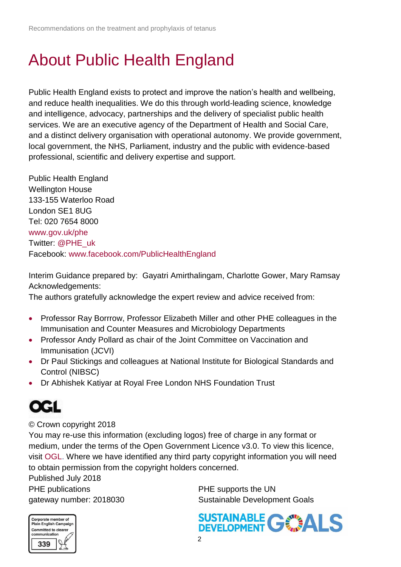## <span id="page-1-0"></span>About Public Health England

Public Health England exists to protect and improve the nation's health and wellbeing, and reduce health inequalities. We do this through world-leading science, knowledge and intelligence, advocacy, partnerships and the delivery of specialist public health services. We are an executive agency of the Department of Health and Social Care, and a distinct delivery organisation with operational autonomy. We provide government, local government, the NHS, Parliament, industry and the public with evidence-based professional, scientific and delivery expertise and support.

Public Health England Wellington House 133-155 Waterloo Road London SE1 8UG Tel: 020 7654 8000 [www.gov.uk/phe](http://www.gov.uk/phe) Twitter: [@PHE\\_uk](https://twitter.com/PHE_uk) Facebook: [www.facebook.com/PublicHealthEngland](http://www.facebook.com/PublicHealthEngland)

Interim Guidance prepared by: Gayatri Amirthalingam, Charlotte Gower, Mary Ramsay Acknowledgements:

The authors gratefully acknowledge the expert review and advice received from:

- Professor Ray Borrrow, Professor Elizabeth Miller and other PHE colleagues in the Immunisation and Counter Measures and Microbiology Departments
- Professor Andy Pollard as chair of the Joint Committee on Vaccination and Immunisation (JCVI)
- Dr Paul Stickings and colleagues at National Institute for Biological Standards and Control (NIBSC)
- Dr Abhishek Katiyar at Royal Free London NHS Foundation Trust

## **OGL**

© Crown copyright 2018

You may re-use this information (excluding logos) free of charge in any format or medium, under the terms of the Open Government Licence v3.0. To view this licence, visit [OGL.](https://www.nationalarchives.gov.uk/doc/open-government-licence/version/3/) Where we have identified any third party copyright information you will need to obtain permission from the copyright holders concerned.

Published July 2018 PHE publications **PHE** supports the UN

gateway number: 2018030 Sustainable Development Goals



SUSTAINABLE GWALS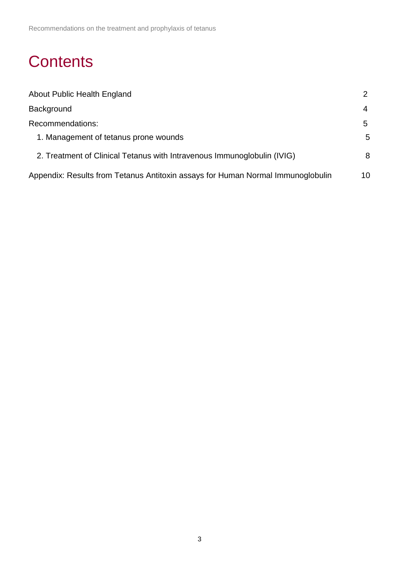### **Contents**

| <b>About Public Health England</b>                                              | $\mathbf{2}^{\circ}$ |
|---------------------------------------------------------------------------------|----------------------|
| Background                                                                      | 4                    |
| Recommendations:                                                                | 5                    |
| 1. Management of tetanus prone wounds                                           | 5                    |
| 2. Treatment of Clinical Tetanus with Intravenous Immunoglobulin (IVIG)         | 8                    |
| Appendix: Results from Tetanus Antitoxin assays for Human Normal Immunoglobulin | 10                   |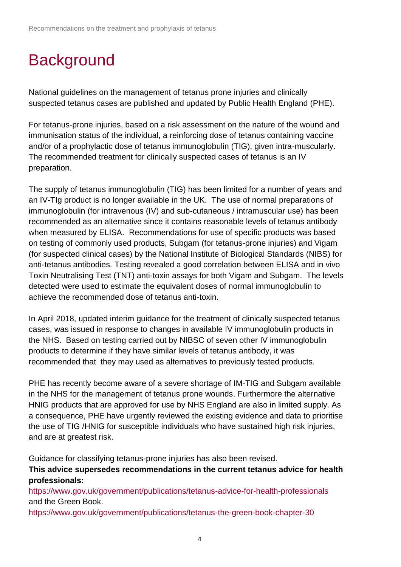## <span id="page-3-0"></span>**Background**

National guidelines on the management of tetanus prone injuries and clinically suspected tetanus cases are published and updated by Public Health England (PHE).

For tetanus-prone injuries, based on a risk assessment on the nature of the wound and immunisation status of the individual, a reinforcing dose of tetanus containing vaccine and/or of a prophylactic dose of tetanus immunoglobulin (TIG), given intra-muscularly. The recommended treatment for clinically suspected cases of tetanus is an IV preparation.

The supply of tetanus immunoglobulin (TIG) has been limited for a number of years and an IV-TIg product is no longer available in the UK. The use of normal preparations of immunoglobulin (for intravenous (IV) and sub-cutaneous / intramuscular use) has been recommended as an alternative since it contains reasonable levels of tetanus antibody when measured by ELISA. Recommendations for use of specific products was based on testing of commonly used products, Subgam (for tetanus-prone injuries) and Vigam (for suspected clinical cases) by the National Institute of Biological Standards (NIBS) for anti-tetanus antibodies. Testing revealed a good correlation between ELISA and in vivo Toxin Neutralising Test (TNT) anti-toxin assays for both Vigam and Subgam. The levels detected were used to estimate the equivalent doses of normal immunoglobulin to achieve the recommended dose of tetanus anti-toxin.

In April 2018, updated interim guidance for the treatment of clinically suspected tetanus cases, was issued in response to changes in available IV immunoglobulin products in the NHS. Based on testing carried out by NIBSC of seven other IV immunoglobulin products to determine if they have similar levels of tetanus antibody, it was recommended that they may used as alternatives to previously tested products.

PHE has recently become aware of a severe shortage of IM-TIG and Subgam available in the NHS for the management of tetanus prone wounds. Furthermore the alternative HNIG products that are approved for use by NHS England are also in limited supply. As a consequence, PHE have urgently reviewed the existing evidence and data to prioritise the use of TIG /HNIG for susceptible individuals who have sustained high risk injuries, and are at greatest risk.

Guidance for classifying tetanus-prone injuries has also been revised.

**This advice supersedes recommendations in the current tetanus advice for health professionals:**

<https://www.gov.uk/government/publications/tetanus-advice-for-health-professionals> and the Green Book.

<https://www.gov.uk/government/publications/tetanus-the-green-book-chapter-30>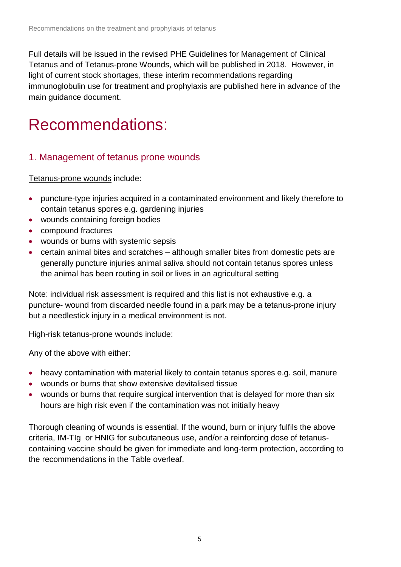Full details will be issued in the revised PHE Guidelines for Management of Clinical Tetanus and of Tetanus-prone Wounds, which will be published in 2018. However, in light of current stock shortages, these interim recommendations regarding immunoglobulin use for treatment and prophylaxis are published here in advance of the main guidance document.

### <span id="page-4-0"></span>Recommendations:

#### <span id="page-4-1"></span>1. Management of tetanus prone wounds

Tetanus-prone wounds include:

- puncture-type injuries acquired in a contaminated environment and likely therefore to contain tetanus spores e.g. gardening injuries
- wounds containing foreign bodies
- compound fractures
- wounds or burns with systemic sepsis
- certain animal bites and scratches although smaller bites from domestic pets are generally puncture injuries animal saliva should not contain tetanus spores unless the animal has been routing in soil or lives in an agricultural setting

Note: individual risk assessment is required and this list is not exhaustive e.g. a puncture- wound from discarded needle found in a park may be a tetanus-prone injury but a needlestick injury in a medical environment is not.

#### High-risk tetanus-prone wounds include:

Any of the above with either:

- heavy contamination with material likely to contain tetanus spores e.g. soil, manure
- wounds or burns that show extensive devitalised tissue
- wounds or burns that require surgical intervention that is delayed for more than six hours are high risk even if the contamination was not initially heavy

Thorough cleaning of wounds is essential. If the wound, burn or injury fulfils the above criteria, IM-TIg or HNIG for subcutaneous use, and/or a reinforcing dose of tetanuscontaining vaccine should be given for immediate and long-term protection, according to the recommendations in the Table overleaf.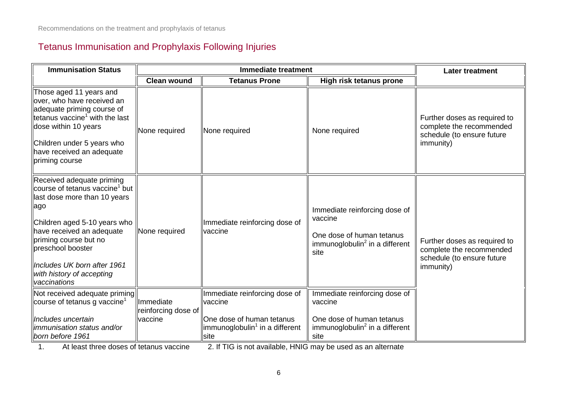### Tetanus Immunisation and Prophylaxis Following Injuries

| <b>Immunisation Status</b>                                                                                                                                                                                                                                                                             |                                          | <b>Immediate treatment</b>                                                             | <b>Later treatment</b>                                                                                              |                                                                                                     |
|--------------------------------------------------------------------------------------------------------------------------------------------------------------------------------------------------------------------------------------------------------------------------------------------------------|------------------------------------------|----------------------------------------------------------------------------------------|---------------------------------------------------------------------------------------------------------------------|-----------------------------------------------------------------------------------------------------|
|                                                                                                                                                                                                                                                                                                        | <b>Clean wound</b>                       | <b>Tetanus Prone</b>                                                                   | High risk tetanus prone                                                                                             |                                                                                                     |
| Those aged 11 years and<br>over, who have received an<br>adequate priming course of<br>tetanus vaccine <sup>1</sup> with the last<br>dose within 10 years<br>Children under 5 years who<br>have received an adequate<br>priming course                                                                 | None required                            | None required                                                                          | None required                                                                                                       | Further doses as required to<br>complete the recommended<br>schedule (to ensure future<br>immunity) |
| Received adequate priming<br>course of tetanus vaccine <sup>1</sup> but<br>last dose more than 10 years<br>lago<br>Children aged 5-10 years who<br>have received an adequate<br>priming course but no<br>preschool booster<br>Includes UK born after 1961<br>with history of accepting<br>vaccinations | None required                            | Immediate reinforcing dose of<br><b>I</b> vaccine                                      | Immediate reinforcing dose of<br>vaccine<br>One dose of human tetanus<br>immunoglobulin $^2$ in a different<br>site | Further doses as required to<br>complete the recommended<br>schedule (to ensure future<br>immunity) |
| Not received adequate priming<br>$\parallel$ course of tetanus g vaccine $^1$                                                                                                                                                                                                                          | <b>Ilmmediate</b><br>reinforcing dose of | Immediate reinforcing dose of<br>llvaccine                                             | Immediate reinforcing dose of<br>vaccine                                                                            |                                                                                                     |
| Includes uncertain<br>ll <i>immunisation status and/or</i><br>born before 1961                                                                                                                                                                                                                         | vaccine                                  | One dose of human tetanus<br>immunoglobulin <sup>1</sup> in a different<br><b>Site</b> | One dose of human tetanus<br>immunoglobulin $^2$ in a different<br>site                                             |                                                                                                     |

1. At least three doses of tetanus vaccine 2. If TIG is not available, HNIG may be used as an alternate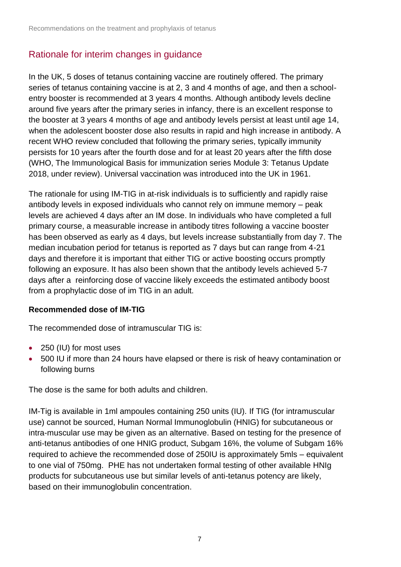### Rationale for interim changes in guidance

In the UK, 5 doses of tetanus containing vaccine are routinely offered. The primary series of tetanus containing vaccine is at 2, 3 and 4 months of age, and then a schoolentry booster is recommended at 3 years 4 months. Although antibody levels decline around five years after the primary series in infancy, there is an excellent response to the booster at 3 years 4 months of age and antibody levels persist at least until age 14, when the adolescent booster dose also results in rapid and high increase in antibody. A recent WHO review concluded that following the primary series, typically immunity persists for 10 years after the fourth dose and for at least 20 years after the fifth dose (WHO, The Immunological Basis for immunization series Module 3: Tetanus Update 2018, under review). Universal vaccination was introduced into the UK in 1961.

The rationale for using IM-TIG in at-risk individuals is to sufficiently and rapidly raise antibody levels in exposed individuals who cannot rely on immune memory – peak levels are achieved 4 days after an IM dose. In individuals who have completed a full primary course, a measurable increase in antibody titres following a vaccine booster has been observed as early as 4 days, but levels increase substantially from day 7. The median incubation period for tetanus is reported as 7 days but can range from 4-21 days and therefore it is important that either TIG or active boosting occurs promptly following an exposure. It has also been shown that the antibody levels achieved 5-7 days after a reinforcing dose of vaccine likely exceeds the estimated antibody boost from a prophylactic dose of im TIG in an adult.

#### **Recommended dose of IM-TIG**

The recommended dose of intramuscular TIG is:

- 250 (IU) for most uses
- 500 IU if more than 24 hours have elapsed or there is risk of heavy contamination or following burns

The dose is the same for both adults and children.

IM-Tig is available in 1ml ampoules containing 250 units (IU). If TIG (for intramuscular use) cannot be sourced, Human Normal Immunoglobulin (HNIG) for subcutaneous or intra-muscular use may be given as an alternative. Based on testing for the presence of anti-tetanus antibodies of one HNIG product, Subgam 16%, the volume of Subgam 16% required to achieve the recommended dose of 250IU is approximately 5mls – equivalent to one vial of 750mg. PHE has not undertaken formal testing of other available HNIg products for subcutaneous use but similar levels of anti-tetanus potency are likely, based on their immunoglobulin concentration.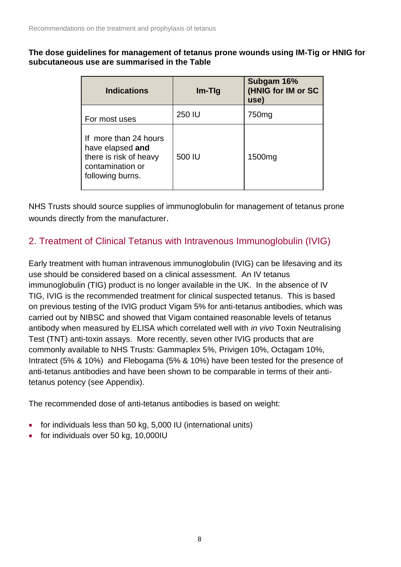**The dose guidelines for management of tetanus prone wounds using IM-Tig or HNIG for subcutaneous use are summarised in the Table**

| <b>Indications</b>                                                                                          | $Im-Tlg$ | Subgam 16%<br>(HNIG for IM or SC<br>use) |
|-------------------------------------------------------------------------------------------------------------|----------|------------------------------------------|
| For most uses                                                                                               | 250 IU   | 750 <sub>mg</sub>                        |
| If more than 24 hours<br>have elapsed and<br>there is risk of heavy<br>contamination or<br>following burns. | 500 IU   | 1500 <sub>mg</sub>                       |

NHS Trusts should source supplies of immunoglobulin for management of tetanus prone wounds directly from the manufacturer.

### <span id="page-7-0"></span>2. Treatment of Clinical Tetanus with Intravenous Immunoglobulin (IVIG)

Early treatment with human intravenous immunoglobulin (IVIG) can be lifesaving and its use should be considered based on a clinical assessment. An IV tetanus immunoglobulin (TIG) product is no longer available in the UK. In the absence of IV TIG, IVIG is the recommended treatment for clinical suspected tetanus. This is based on previous testing of the IVIG product Vigam 5% for anti-tetanus antibodies, which was carried out by NIBSC and showed that Vigam contained reasonable levels of tetanus antibody when measured by ELISA which correlated well with *in vivo* Toxin Neutralising Test (TNT) anti-toxin assays. More recently, seven other IVIG products that are commonly available to NHS Trusts: Gammaplex 5%, Privigen 10%, Octagam 10%, Intratect (5% & 10%) and Flebogama (5% & 10%) have been tested for the presence of anti-tetanus antibodies and have been shown to be comparable in terms of their antitetanus potency (see Appendix).

The recommended dose of anti-tetanus antibodies is based on weight:

- for individuals less than 50 kg, 5,000 IU (international units)
- for individuals over 50 kg, 10,000IU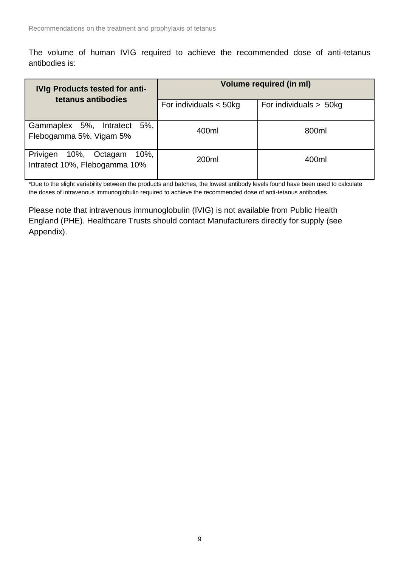The volume of human IVIG required to achieve the recommended dose of anti-tetanus antibodies is:

| <b>IVIg Products tested for anti-</b><br>tetanus antibodies              | <b>Volume required (in ml)</b> |                           |  |
|--------------------------------------------------------------------------|--------------------------------|---------------------------|--|
|                                                                          | For individuals $<$ 50kg       | For individuals $> 50$ kg |  |
| $5\%$ ,<br>$5\%$ ,<br>Gammaplex<br>Intratect<br>Flebogamma 5%, Vigam 5%  | 400ml                          | 800ml                     |  |
| Privigen<br>10%,<br>$10\%$ .<br>Octagam<br>Intratect 10%, Flebogamma 10% | 200ml                          | 400ml                     |  |

\*Due to the slight variability between the products and batches, the lowest antibody levels found have been used to calculate the doses of intravenous immunoglobulin required to achieve the recommended dose of anti-tetanus antibodies.

Please note that intravenous immunoglobulin (IVIG) is not available from Public Health England (PHE). Healthcare Trusts should contact Manufacturers directly for supply (see Appendix).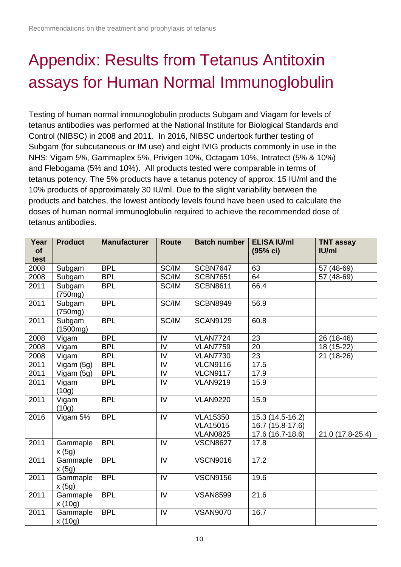# <span id="page-9-0"></span>Appendix: Results from Tetanus Antitoxin assays for Human Normal Immunoglobulin

Testing of human normal immunoglobulin products Subgam and Viagam for levels of tetanus antibodies was performed at the National Institute for Biological Standards and Control (NIBSC) in 2008 and 2011. In 2016, NIBSC undertook further testing of Subgam (for subcutaneous or IM use) and eight IVIG products commonly in use in the NHS: Vigam 5%, Gammaplex 5%, Privigen 10%, Octagam 10%, Intratect (5% & 10%) and Flebogama (5% and 10%). All products tested were comparable in terms of tetanus potency. The 5% products have a tetanus potency of approx. 15 IU/ml and the 10% products of approximately 30 IU/ml. Due to the slight variability between the products and batches, the lowest antibody levels found have been used to calculate the doses of human normal immunoglobulin required to achieve the recommended dose of tetanus antibodies.

| Year<br>of<br>test | <b>Product</b>     | <b>Manufacturer</b> | <b>Route</b>   | <b>Batch number</b>                                   | <b>ELISA IU/ml</b><br>(95% c)                            | <b>TNT assay</b><br>IU/ml |
|--------------------|--------------------|---------------------|----------------|-------------------------------------------------------|----------------------------------------------------------|---------------------------|
| 2008               | Subgam             | <b>BPL</b>          | SC/IM          | <b>SCBN7647</b>                                       | 63                                                       | $(48-69)$<br>57           |
| 2008               | Subgam             | <b>BPL</b>          | SC/IM          | <b>SCBN7651</b>                                       | 64                                                       | 57 (48-69)                |
| 2011               | Subgam<br>(750mg)  | <b>BPL</b>          | SC/IM          | <b>SCBN8611</b>                                       | 66.4                                                     |                           |
| 2011               | Subgam<br>(750mg)  | <b>BPL</b>          | SC/IM          | <b>SCBN8949</b>                                       | 56.9                                                     |                           |
| 2011               | Subgam<br>(1500mg) | <b>BPL</b>          | SC/IM          | <b>SCAN9129</b>                                       | 60.8                                                     |                           |
| 2008               | Vigam              | <b>BPL</b>          | IV             | <b>VLAN7724</b>                                       | 23                                                       | 26 (18-46)                |
| 2008               | Vigam              | <b>BPL</b>          | IV             | <b>VLAN7759</b>                                       | 20                                                       | 18 (15-22)                |
| 2008               | Vigam              | <b>BPL</b>          | IV             | <b>VLAN7730</b>                                       | 23                                                       | 21 (18-26)                |
| 2011               | Vigam (5g)         | <b>BPL</b>          | IV             | <b>VLCN9116</b>                                       | 17.5                                                     |                           |
| 2011               | Vigam (5g)         | <b>BPL</b>          | IV             | <b>VLCN9117</b>                                       | 17.9                                                     |                           |
| 2011               | Vigam<br>(10g)     | <b>BPL</b>          | IV             | <b>VLAN9219</b>                                       | 15.9                                                     |                           |
| 2011               | Vigam<br>(10g)     | <b>BPL</b>          | IV             | <b>VLAN9220</b>                                       | 15.9                                                     |                           |
| 2016               | Vigam 5%           | <b>BPL</b>          | $\overline{N}$ | <b>VLA15350</b><br><b>VLA15015</b><br><b>VLAN0825</b> | 15.3 (14.5-16.2)<br>16.7 (15.8-17.6)<br>17.6 (16.7-18.6) | 21.0 (17.8-25.4)          |
| 2011               | Gammaple<br>x(5g)  | <b>BPL</b>          | IV             | <b>VSCN8627</b>                                       | 17.8                                                     |                           |
| 2011               | Gammaple<br>x(5g)  | <b>BPL</b>          | IV             | <b>VSCN9016</b>                                       | 17.2                                                     |                           |
| 2011               | Gammaple<br>x(5g)  | <b>BPL</b>          | IV             | <b>VSCN9156</b>                                       | 19.6                                                     |                           |
| 2011               | Gammaple<br>x(10g) | <b>BPL</b>          | IV             | <b>VSAN8599</b>                                       | 21.6                                                     |                           |
| 2011               | Gammaple<br>x(10g) | <b>BPL</b>          | IV             | <b>VSAN9070</b>                                       | 16.7                                                     |                           |